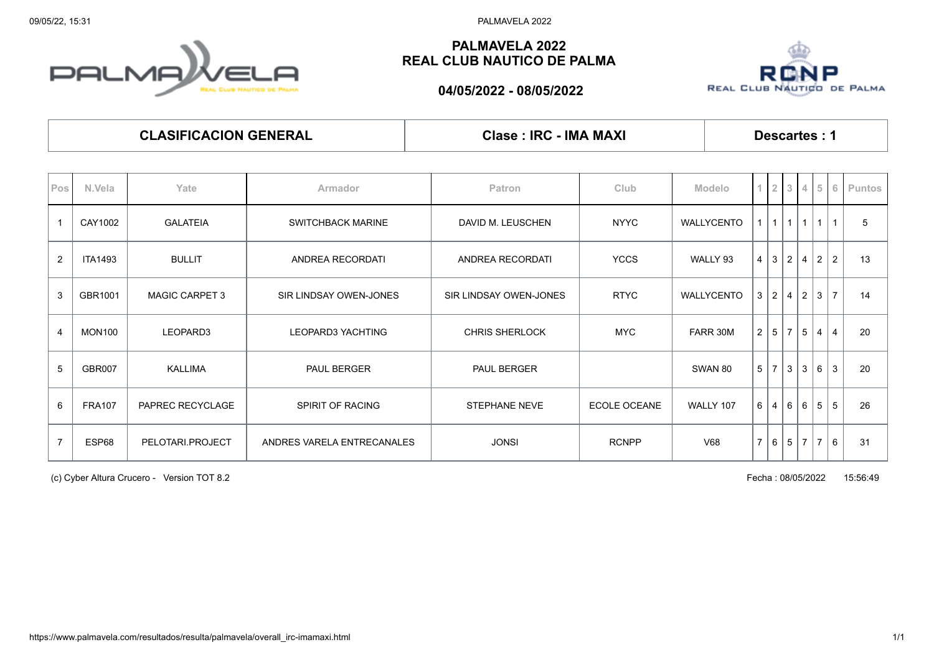09/05/22, 15:31 PALMAVELA 2022

## **PALMA REAL CLUB NAUTICO DE PALMA**

## **PALMAVELA 2022 REAL CLUB NAUTICO DE PALMA**



**04/05/2022 - 08/05/2022**

| <b>CLASIFICACION GENERAL</b> |  |
|------------------------------|--|
|------------------------------|--|

**Clase : IRC - IMA MAXI Descartes : 1** 

| Pos            | N.Vela         | Yate                  | Armador                    | <b>Patron</b>                                       | Club         | Modelo         | $1\vert 2$      |                | $\vert 3 \vert$ |     |                |                | 4 5 6 Puntos |
|----------------|----------------|-----------------------|----------------------------|-----------------------------------------------------|--------------|----------------|-----------------|----------------|-----------------|-----|----------------|----------------|--------------|
|                | CAY1002        | <b>GALATEIA</b>       | <b>SWITCHBACK MARINE</b>   | DAVID M. LEUSCHEN                                   | <b>NYYC</b>  | WALLYCENTO     | 1               | $\mathbf{1}$   | 111             |     | $\mathbf{1}$   |                | 5            |
| $\overline{2}$ | <b>ITA1493</b> | <b>BULLIT</b>         | ANDREA RECORDATI           | ANDREA RECORDATI                                    | <b>YCCS</b>  | WALLY 93       | $4 \mid 3 \mid$ |                | $\vert$ 2       | 4   | $\overline{2}$ | $\overline{2}$ | 13           |
| 3              | GBR1001        | <b>MAGIC CARPET 3</b> | SIR LINDSAY OWEN-JONES     | <b>RTYC</b><br>WALLYCENTO<br>SIR LINDSAY OWEN-JONES |              | 3 <sup>1</sup> | 2               | 4 2            |                 | 3   | $\overline{7}$ | 14             |              |
| $\overline{4}$ | <b>MON100</b>  | LEOPARD3              | LEOPARD3 YACHTING          | <b>CHRIS SHERLOCK</b>                               | <b>MYC</b>   | FARR 30M       | 2 5             |                | $\overline{7}$  | 5   | $\overline{4}$ | $\overline{4}$ | 20           |
| 5              | <b>GBR007</b>  | <b>KALLIMA</b>        | <b>PAUL BERGER</b>         | PAUL BERGER                                         | SWAN 80      |                | 5 <sup>1</sup>  | $\overline{7}$ | l 3             | 3   | 6              | 3              | 20           |
| 6              | <b>FRA107</b>  | PAPREC RECYCLAGE      | SPIRIT OF RACING           | <b>STEPHANE NEVE</b>                                | ECOLE OCEANE | WALLY 107      | 6 <sup>1</sup>  | 4              | 16 <sup>1</sup> | l 6 | 5              | 5              | 26           |
| $\overline{7}$ | ESP68          | PELOTARI.PROJECT      | ANDRES VARELA ENTRECANALES | <b>JONSI</b>                                        | <b>RCNPP</b> | V68            |                 |                | 7 6 5 7 7       |     |                | 6              | 31           |

(c) Cyber Altura Crucero - Version TOT 8.2 Fecha : 08/05/2022 15:56:49